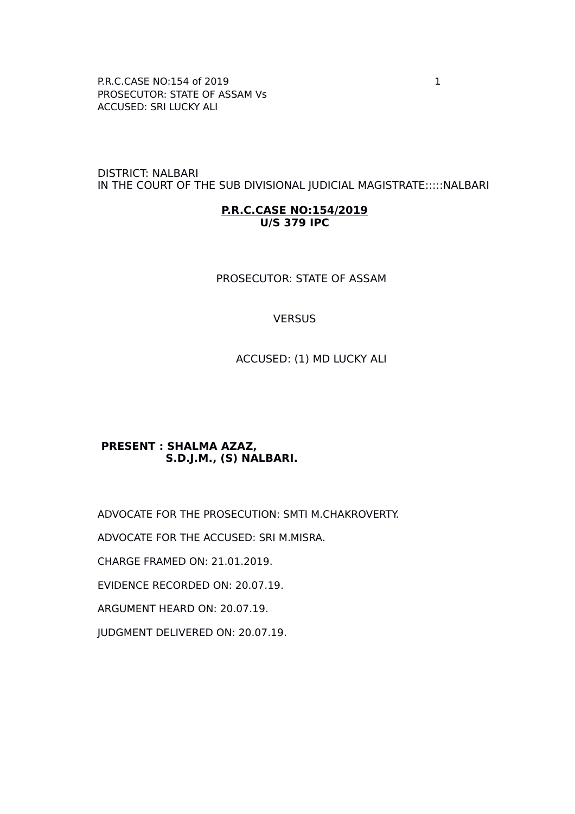P.R.C.CASE NO:154 of 2019 1 PROSECUTOR: STATE OF ASSAM Vs ACCUSED: SRI LUCKY ALI

DISTRICT: NALBARI IN THE COURT OF THE SUB DIVISIONAL JUDICIAL MAGISTRATE:::::NALBARI

#### **P.R.C.CASE NO:154/2019 U/S 379 IPC**

PROSECUTOR: STATE OF ASSAM

#### **VERSUS**

ACCUSED: (1) MD LUCKY ALI

### **PRESENT : SHALMA AZAZ, S.D.J.M., (S) NALBARI.**

ADVOCATE FOR THE PROSECUTION: SMTI M.CHAKROVERTY. ADVOCATE FOR THE ACCUSED: SRI M.MISRA. CHARGE FRAMED ON: 21.01.2019. EVIDENCE RECORDED ON: 20.07.19. ARGUMENT HEARD ON: 20.07.19. JUDGMENT DELIVERED ON: 20.07.19.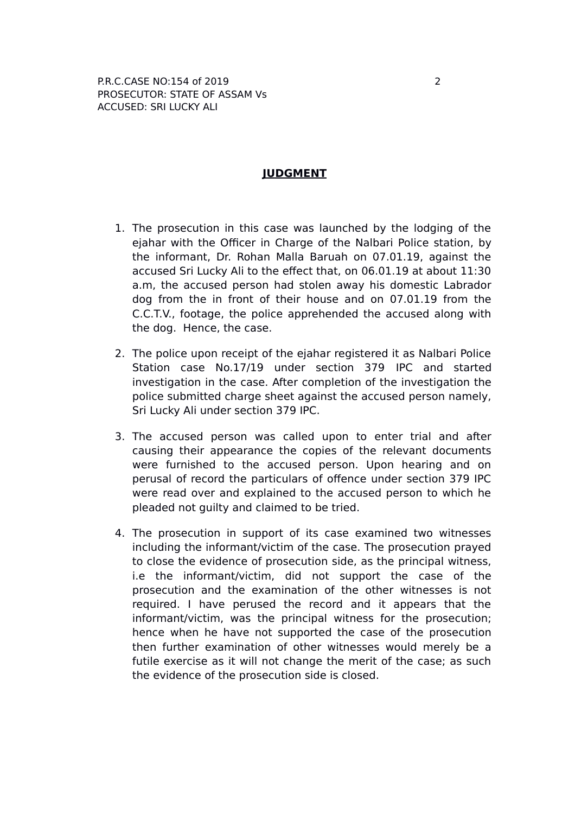### **JUDGMENT**

- 1. The prosecution in this case was launched by the lodging of the ejahar with the Officer in Charge of the Nalbari Police station, by the informant, Dr. Rohan Malla Baruah on 07.01.19, against the accused Sri Lucky Ali to the effect that, on 06.01.19 at about 11:30 a.m, the accused person had stolen away his domestic Labrador dog from the in front of their house and on 07.01.19 from the C.C.T.V., footage, the police apprehended the accused along with the dog. Hence, the case.
- 2. The police upon receipt of the ejahar registered it as Nalbari Police Station case No.17/19 under section 379 IPC and started investigation in the case. After completion of the investigation the police submitted charge sheet against the accused person namely, Sri Lucky Ali under section 379 IPC.
- 3. The accused person was called upon to enter trial and after causing their appearance the copies of the relevant documents were furnished to the accused person. Upon hearing and on perusal of record the particulars of offence under section 379 IPC were read over and explained to the accused person to which he pleaded not guilty and claimed to be tried.
- 4. The prosecution in support of its case examined two witnesses including the informant/victim of the case. The prosecution prayed to close the evidence of prosecution side, as the principal witness, i.e the informant/victim, did not support the case of the prosecution and the examination of the other witnesses is not required. I have perused the record and it appears that the informant/victim, was the principal witness for the prosecution; hence when he have not supported the case of the prosecution then further examination of other witnesses would merely be a futile exercise as it will not change the merit of the case; as such the evidence of the prosecution side is closed.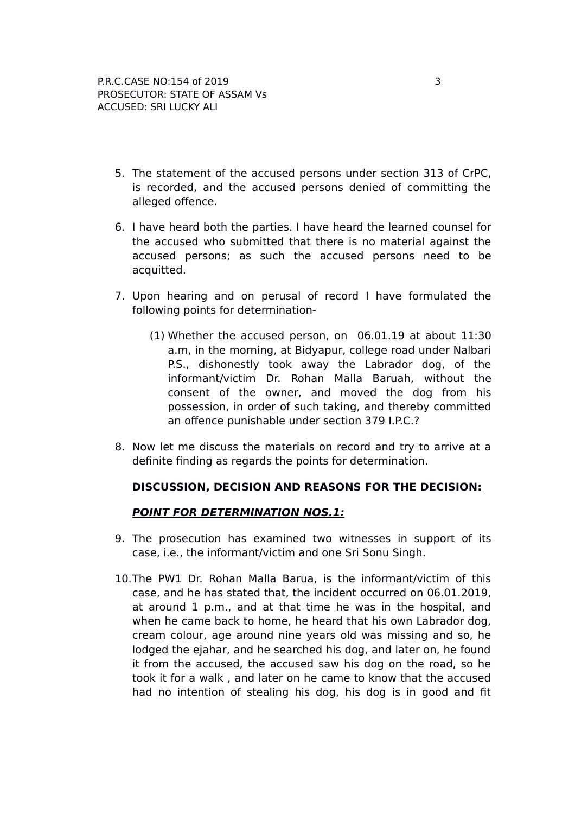- 5. The statement of the accused persons under section 313 of CrPC, is recorded, and the accused persons denied of committing the alleged offence.
- 6. I have heard both the parties. I have heard the learned counsel for the accused who submitted that there is no material against the accused persons; as such the accused persons need to be acquitted.
- 7. Upon hearing and on perusal of record I have formulated the following points for determination-
	- (1) Whether the accused person, on 06.01.19 at about 11:30 a.m, in the morning, at Bidyapur, college road under Nalbari P.S., dishonestly took away the Labrador dog, of the informant/victim Dr. Rohan Malla Baruah, without the consent of the owner, and moved the dog from his possession, in order of such taking, and thereby committed an offence punishable under section 379 I.P.C.?
- 8. Now let me discuss the materials on record and try to arrive at a definite finding as regards the points for determination.

# **DISCUSSION, DECISION AND REASONS FOR THE DECISION:**

# **POINT FOR DETERMINATION NOS.1:**

- 9. The prosecution has examined two witnesses in support of its case, i.e., the informant/victim and one Sri Sonu Singh.
- 10.The PW1 Dr. Rohan Malla Barua, is the informant/victim of this case, and he has stated that, the incident occurred on 06.01.2019, at around 1 p.m., and at that time he was in the hospital, and when he came back to home, he heard that his own Labrador dog, cream colour, age around nine years old was missing and so, he lodged the ejahar, and he searched his dog, and later on, he found it from the accused, the accused saw his dog on the road, so he took it for a walk , and later on he came to know that the accused had no intention of stealing his dog, his dog is in good and fit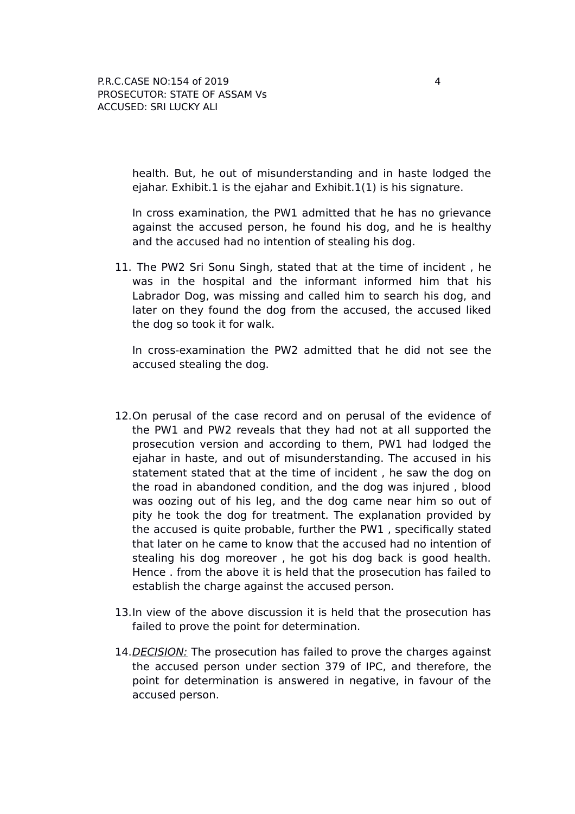health. But, he out of misunderstanding and in haste lodged the ejahar. Exhibit.1 is the ejahar and Exhibit.1 $(1)$  is his signature.

In cross examination, the PW1 admitted that he has no grievance against the accused person, he found his dog, and he is healthy and the accused had no intention of stealing his dog.

11. The PW2 Sri Sonu Singh, stated that at the time of incident , he was in the hospital and the informant informed him that his Labrador Dog, was missing and called him to search his dog, and later on they found the dog from the accused, the accused liked the dog so took it for walk.

In cross-examination the PW2 admitted that he did not see the accused stealing the dog.

- 12.On perusal of the case record and on perusal of the evidence of the PW1 and PW2 reveals that they had not at all supported the prosecution version and according to them, PW1 had lodged the ejahar in haste, and out of misunderstanding. The accused in his statement stated that at the time of incident , he saw the dog on the road in abandoned condition, and the dog was injured , blood was oozing out of his leg, and the dog came near him so out of pity he took the dog for treatment. The explanation provided by the accused is quite probable, further the PW1 , specifically stated that later on he came to know that the accused had no intention of stealing his dog moreover , he got his dog back is good health. Hence . from the above it is held that the prosecution has failed to establish the charge against the accused person.
- 13.In view of the above discussion it is held that the prosecution has failed to prove the point for determination.
- 14. DECISION: The prosecution has failed to prove the charges against the accused person under section 379 of IPC, and therefore, the point for determination is answered in negative, in favour of the accused person.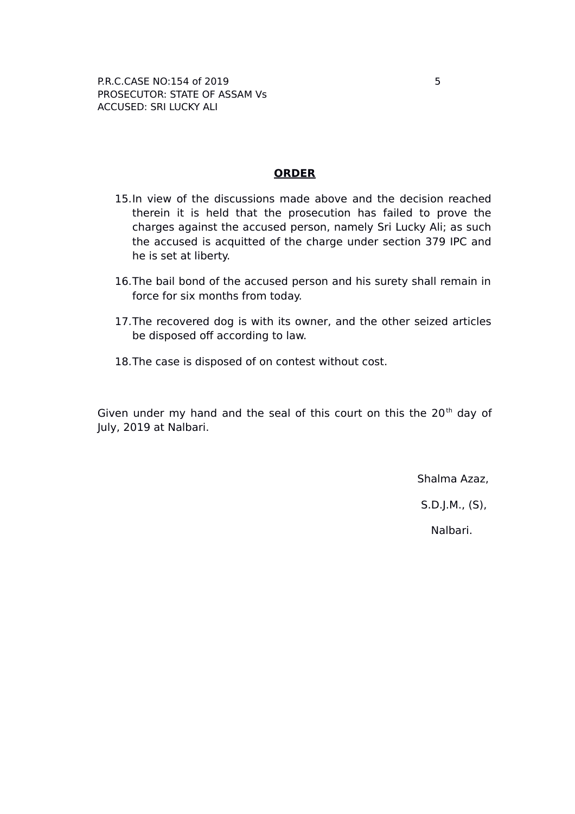### **ORDER**

- 15.In view of the discussions made above and the decision reached therein it is held that the prosecution has failed to prove the charges against the accused person, namely Sri Lucky Ali; as such the accused is acquitted of the charge under section 379 IPC and he is set at liberty.
- 16.The bail bond of the accused person and his surety shall remain in force for six months from today.
- 17.The recovered dog is with its owner, and the other seized articles be disposed off according to law.
- 18.The case is disposed of on contest without cost.

Given under my hand and the seal of this court on this the  $20<sup>th</sup>$  day of July, 2019 at Nalbari.

Shalma Azaz,

S.D.J.M., (S),

Nalbari.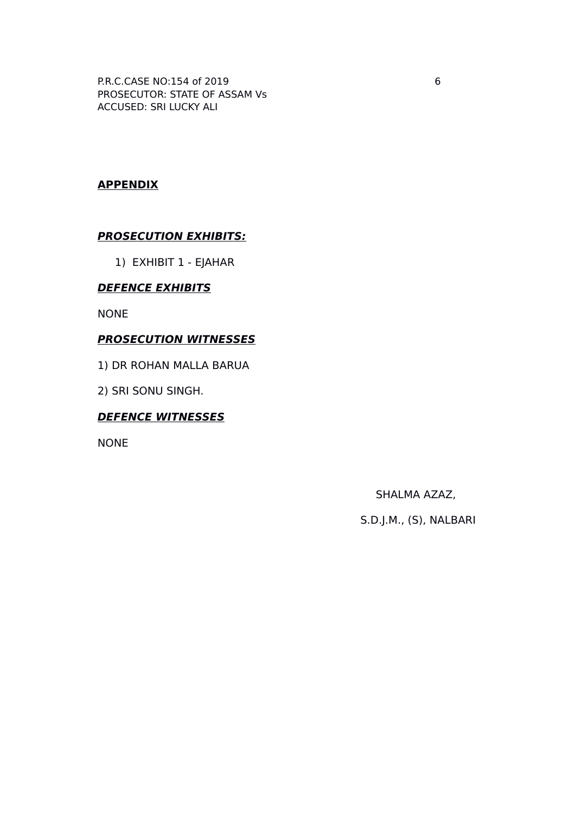P.R.C.CASE NO:154 of 2019 6 PROSECUTOR: STATE OF ASSAM Vs ACCUSED: SRI LUCKY ALI

## **APPENDIX**

### **PROSECUTION EXHIBITS:**

1) EXHIBIT 1 - EJAHAR

### **DEFENCE EXHIBITS**

NONE

#### **PROSECUTION WITNESSES**

1) DR ROHAN MALLA BARUA

2) SRI SONU SINGH.

## **DEFENCE WITNESSES**

NONE

SHALMA AZAZ,

S.D.J.M., (S), NALBARI